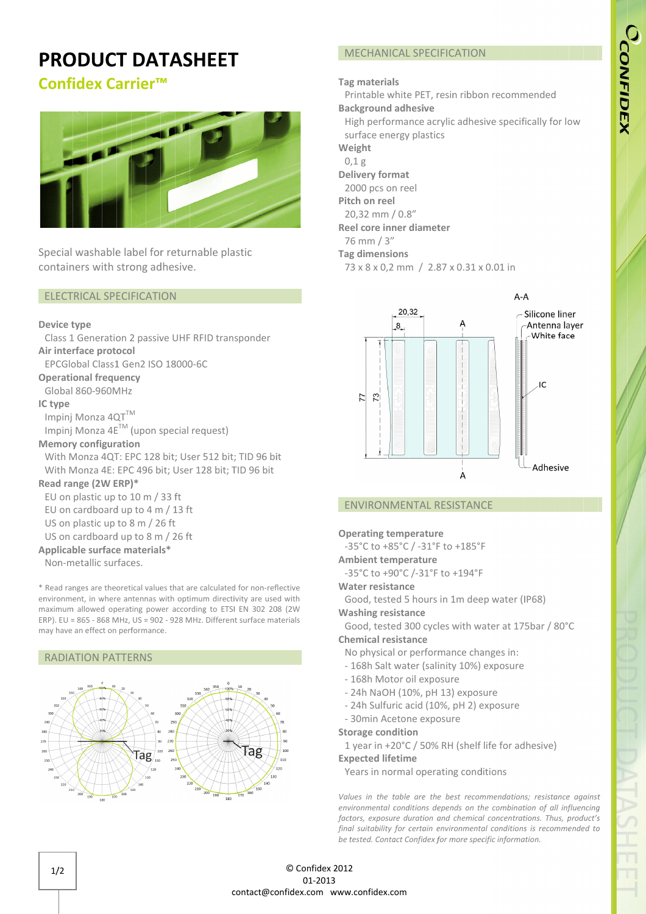## CCONFIDEX

# $A - A$

### ENVIRONMENTAL RESISTANCE

MECHANICAL SPECIFICATION

Printable white PET, resin ribbon recommended

73 x 8 x 0,2 mm / 2.87 x 0.31 x 0.01 in

20,32

 $^{8}$ 

High performance acrylic adhesive specifically for low

Tag materials

Delivery format 2000 pcs on reel Pitch on reel 20,32 mm / 0.8 0.8 0.8" Reel core inner diameter

76 mm / 3" Tag dimensions

> 73  $\overline{z}$

Weight 0,1 g

Background adhesive

surface energy plastics

### Operating temperature

-35°C to +85°C / -31 31°F to +185°F

### Ambient temperature

-35°C to +90°C /-31°F to +194°F

### Water resistance

Good, tested 5 hours in 1m deep water (IP68) -35°C to +85°C<br> **mbient tempe**<br>
-35°C to +90°C<br> **Vater resistance**<br>
Good, tested 5<br> **Vashing resista**<br>
Good, tested 3 PET, resin<br> **nesive**<br>
mce acrylic a<br>
plastics<br>
el<br>
3"<br> **diameter**<br>
n / 2.87 x 0<br>
32<br> **CONTERT CONTENT AL RESIS<br>
erature<br>
/-31°F to +<br>
hours in 1n<br>
nce<br>
00 cycles w** 

### Washing resistance

Good , 3 300 cycles with water at 175bar / 80°C Chemical resistance 35°C t<br>mbient<br>35°C t<br>ater re<br>and, iashing<br>500d, iashing<br>00 phy<br>168h °F<br>eep water (<br>water at 17<br>hanges in:<br>6) exposure

À

### No physical or performance changes in:

- 168h Salt water (salinity 10%)
- 168h Motor oil exposure Salt water<br>Motor oil<br>JaOH (10%<br>ulfuric aci<br>1 Acetone
- 24h NaOH (10%, pH 13) exposure
- 24h Sulfuric acid (10%, pH 2) exposure
- 30min Acetone exposure

### Storage condition

1 year in +20°C / 50% RH (shelf life for adhesive)

Expected lifetime

Years in normal operating conditions

Values in the table are the best recommendations; resistance against environmental conditions depends on the combination of all influencing factors, exposure duration and chemical concentrations. Thus, product's final suitability for certain environmental conditions is recommended to be tested. Contact Confidex for more specific information. Confidex n mm

## PRODUCT DATASHEET

### Confidex Carrier Carrier™



Special washable label for containers with strong

### ELECTRICAL SPECIFICATION ELECTRICAL

### Device type

Air interface protocol Class 1 Generation 2 passive UHF RFID transponder

EPCGlobal Class1 Gen2 ISO 18000 18000-6C

Operational frequency

Global 860-960MHz

### IC type

Global 860-960MHz<br>2 **type**<br>Impinj Monza 4QT<sup>™</sup>

Impinj Monza 4 $E^{TM}$  (upon special request)

### Memory configuration

With Monza 4QT: EPC 128 bit; User 512 bit; TID 96 bit With Monza 4QT: EPC 128 bit; User 512 bit; TID 96 bi<br>With Monza 4E: EPC 496 bit; User 128 bit; TID 96 bit CGlobal Class1 Gen2<br>
rational frequency<br>
bal 860-960MHz<br>
pe<br>
binj Monza 4QT<sup>TM</sup><br>
binj Monza 4E<sup>TM</sup> (upo<br>
nory configuration<br>
ch Monza 4QT: EPC 1<br>
ch Monza 4E: EPC 49<br> **l range (2W ERP)\***<br>
on plastic up to 10 n iners with strong adhesive.<br> **TRICAL SPECIFICATION**<br> **e** type<br>
1 Generation 2 passive UHF F<br> **erface protocol**<br>
ilobal Class1 Gen2 ISO 18000-<br> **tional frequency**<br>
al 860-960MHz<br> **e**<br>
ij Monza 4QT<sup>TM</sup><br>
ij Monza 4QT<sup>TM</sup><br>
ij tik 18000-6C<br>special requests:<br>bit; User 5<br>it; User 12

### Read range (2W ERP) ERP)\*

EU on plastic up to 10 m / 33 ft EU on cardboard up to 4 m / 13 ft : EPC<br>**ERP)**<br>0 to 1<br>d up<br>0 to 8

US on plastic up to 8 m / 26 ft

### US on cardboard up to 8 m / 26 ft

Applicable surface materials\*

Non Non-metallic surfaces.

\* Read ranges are theoretical values that are calculated for non-reflective environment, in where antennas with optimum directivity are used with maximum allowed operating power according to ETSI EN 302 208 (2W ERP). EU = 865 - 868 MHz, US = 902 - 928 MHz. Different surface materials may have an effect on performance. Find Solit; TID 96<br>
18 bit; TID 96 b<br>
18 bit; TID 96 b<br>
19 slouded for non-<br>
19 slouded for non-<br>
19 slouded for non-<br>
19 slouded for any solon<br>
19 Different surface

### RADIATION PATTERNS



 $\overline{C}$ 

Adhesive